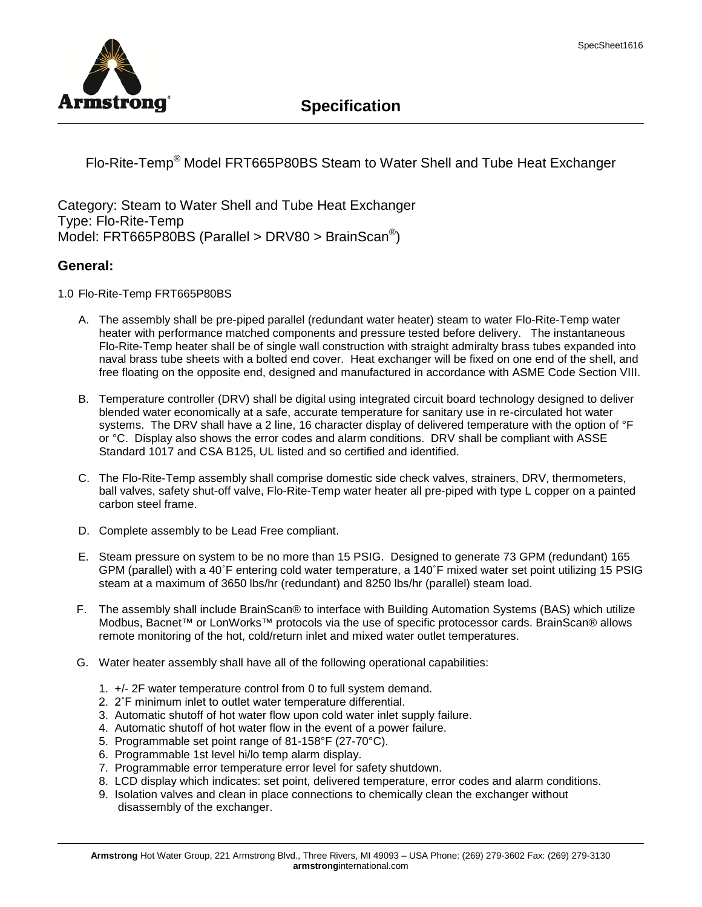

## **Specification**

Flo-Rite-Temp® Model FRT665P80BS Steam to Water Shell and Tube Heat Exchanger

Category: Steam to Water Shell and Tube Heat Exchanger Type: Flo-Rite-Temp Model: FRT665P80BS (Parallel > DRV80 > BrainScan®)

## **General:**

1.0 Flo-Rite-Temp FRT665P80BS

- A. The assembly shall be pre-piped parallel (redundant water heater) steam to water Flo-Rite-Temp water heater with performance matched components and pressure tested before delivery. The instantaneous Flo-Rite-Temp heater shall be of single wall construction with straight admiralty brass tubes expanded into naval brass tube sheets with a bolted end cover. Heat exchanger will be fixed on one end of the shell, and free floating on the opposite end, designed and manufactured in accordance with ASME Code Section VIII.
- B. Temperature controller (DRV) shall be digital using integrated circuit board technology designed to deliver blended water economically at a safe, accurate temperature for sanitary use in re-circulated hot water systems. The DRV shall have a 2 line, 16 character display of delivered temperature with the option of °F or °C. Display also shows the error codes and alarm conditions. DRV shall be compliant with ASSE Standard 1017 and CSA B125, UL listed and so certified and identified.
- C. The Flo-Rite-Temp assembly shall comprise domestic side check valves, strainers, DRV, thermometers, ball valves, safety shut-off valve, Flo-Rite-Temp water heater all pre-piped with type L copper on a painted carbon steel frame.
- D. Complete assembly to be Lead Free compliant.
- E. Steam pressure on system to be no more than 15 PSIG. Designed to generate 73 GPM (redundant) 165 GPM (parallel) with a 40˚F entering cold water temperature, a 140˚F mixed water set point utilizing 15 PSIG steam at a maximum of 3650 lbs/hr (redundant) and 8250 lbs/hr (parallel) steam load.
- F. The assembly shall include BrainScan® to interface with Building Automation Systems (BAS) which utilize Modbus, Bacnet™ or LonWorks™ protocols via the use of specific protocessor cards. BrainScan® allows remote monitoring of the hot, cold/return inlet and mixed water outlet temperatures.
- G. Water heater assembly shall have all of the following operational capabilities:
	- 1. +/- 2F water temperature control from 0 to full system demand.
	- 2. 2˚F minimum inlet to outlet water temperature differential.
	- 3. Automatic shutoff of hot water flow upon cold water inlet supply failure.
	- 4. Automatic shutoff of hot water flow in the event of a power failure.
	- 5. Programmable set point range of 81-158°F (27-70°C).
	- 6. Programmable 1st level hi/lo temp alarm display.
	- 7. Programmable error temperature error level for safety shutdown.
	- 8. LCD display which indicates: set point, delivered temperature, error codes and alarm conditions.
	- 9. Isolation valves and clean in place connections to chemically clean the exchanger without disassembly of the exchanger.